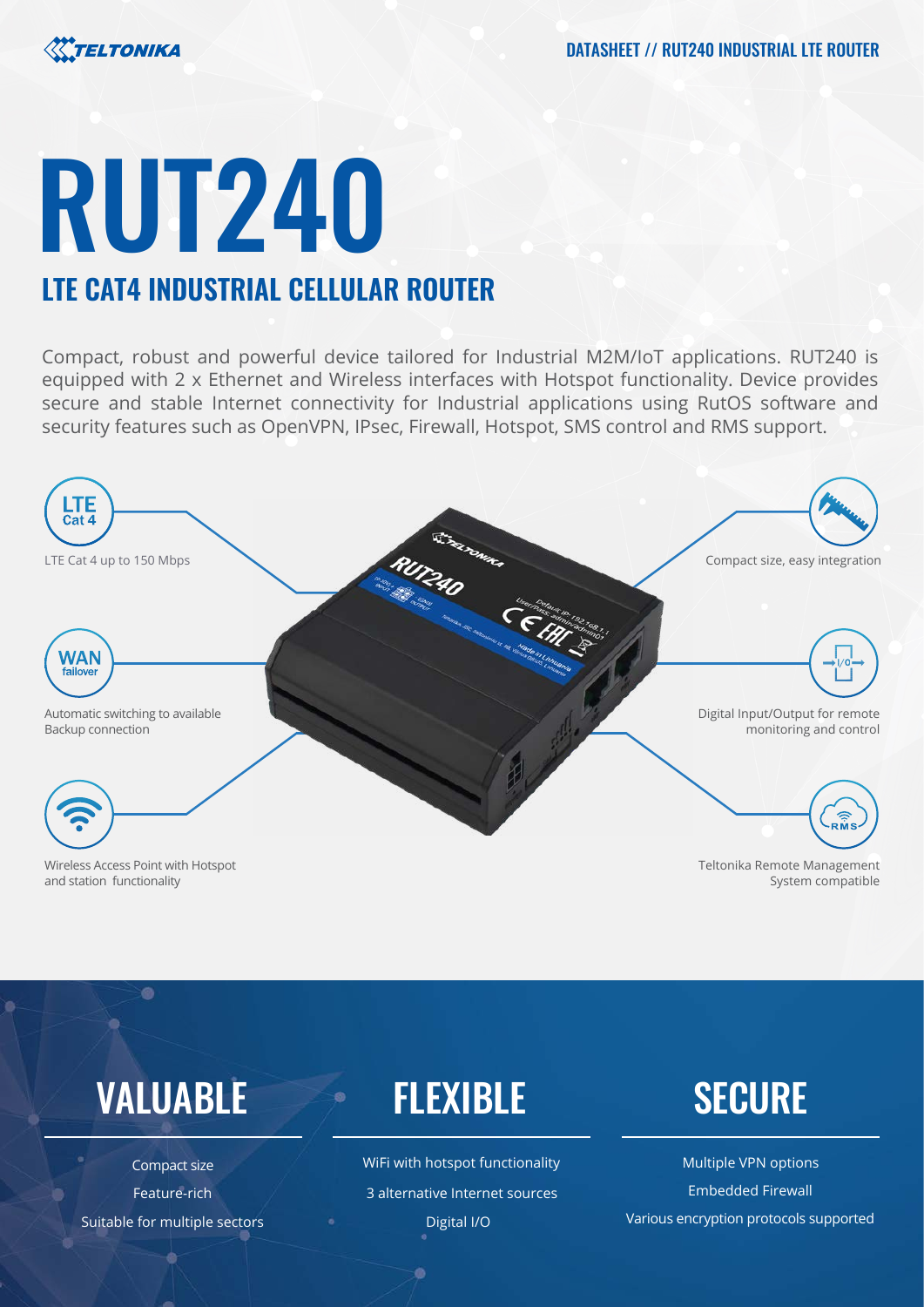

# RUT240 **LTE CAT4 INDUSTRIAL CELLULAR ROUTER**

Compact, robust and powerful device tailored for Industrial M2M/IoT applications. RUT240 is equipped with 2 x Ethernet and Wireless interfaces with Hotspot functionality. Device provides secure and stable Internet connectivity for Industrial applications using RutOS software and security features such as OpenVPN, IPsec, Firewall, Hotspot, SMS control and RMS support.



Wireless Access Point with Hotspot and station functionality

 $\bullet$ 

Teltonika Remote Management System compatible

## VALUABLE FLEXIBLE SECURE

Compact size Suitable for multiple sectors

WiFi with hotspot functionality Multiple VPN options Feature-rich **3 alternative Internet sources** Embedded Firewall

Digital I/O Various encryption protocols supported